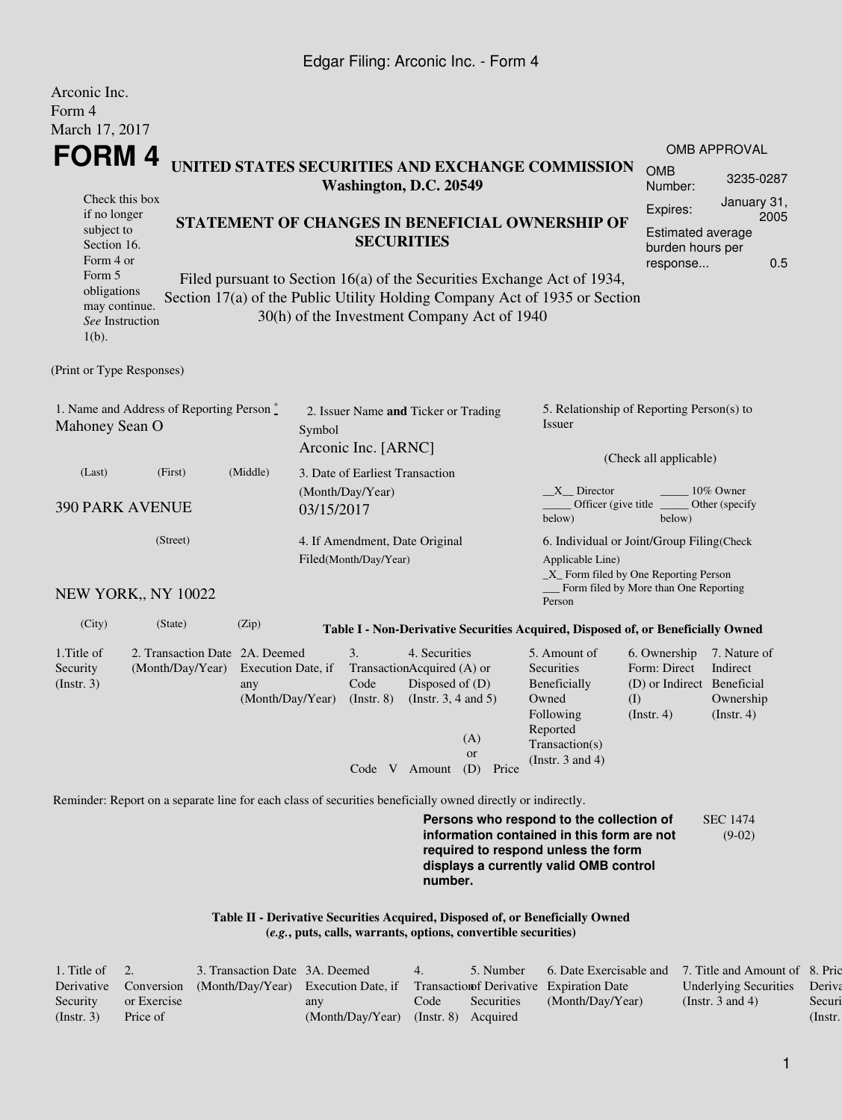#### Edgar Filing: Arconic Inc. - Form 4

| Arconic Inc.<br>Form 4                                                                                                                                                                                                                                                        |                                                                      |                                                             |            |                                                                              |                                                                |                                  |                                                                                                                                                  |                                                                                       |                                                                  |  |  |
|-------------------------------------------------------------------------------------------------------------------------------------------------------------------------------------------------------------------------------------------------------------------------------|----------------------------------------------------------------------|-------------------------------------------------------------|------------|------------------------------------------------------------------------------|----------------------------------------------------------------|----------------------------------|--------------------------------------------------------------------------------------------------------------------------------------------------|---------------------------------------------------------------------------------------|------------------------------------------------------------------|--|--|
| March 17, 2017                                                                                                                                                                                                                                                                |                                                                      |                                                             |            |                                                                              |                                                                |                                  |                                                                                                                                                  |                                                                                       |                                                                  |  |  |
| FORM 4                                                                                                                                                                                                                                                                        |                                                                      |                                                             |            |                                                                              |                                                                |                                  | UNITED STATES SECURITIES AND EXCHANGE COMMISSION                                                                                                 |                                                                                       | <b>OMB APPROVAL</b>                                              |  |  |
|                                                                                                                                                                                                                                                                               |                                                                      |                                                             |            | Washington, D.C. 20549                                                       |                                                                |                                  |                                                                                                                                                  | <b>OMB</b><br>Number:                                                                 | 3235-0287                                                        |  |  |
| Check this box<br>if no longer                                                                                                                                                                                                                                                | STATEMENT OF CHANGES IN BENEFICIAL OWNERSHIP OF<br><b>SECURITIES</b> |                                                             |            |                                                                              |                                                                |                                  |                                                                                                                                                  |                                                                                       | January 31,                                                      |  |  |
| subject to<br>Section 16.<br>Form 4 or                                                                                                                                                                                                                                        |                                                                      |                                                             |            |                                                                              |                                                                |                                  |                                                                                                                                                  |                                                                                       | 2005<br>Estimated average<br>burden hours per<br>0.5<br>response |  |  |
| Form 5<br>Filed pursuant to Section 16(a) of the Securities Exchange Act of 1934,<br>obligations<br>Section 17(a) of the Public Utility Holding Company Act of 1935 or Section<br>may continue.<br>30(h) of the Investment Company Act of 1940<br>See Instruction<br>$1(b)$ . |                                                                      |                                                             |            |                                                                              |                                                                |                                  |                                                                                                                                                  |                                                                                       |                                                                  |  |  |
| (Print or Type Responses)                                                                                                                                                                                                                                                     |                                                                      |                                                             |            |                                                                              |                                                                |                                  |                                                                                                                                                  |                                                                                       |                                                                  |  |  |
| 1. Name and Address of Reporting Person *<br>Mahoney Sean O                                                                                                                                                                                                                   | Symbol                                                               | 2. Issuer Name and Ticker or Trading<br>Arconic Inc. [ARNC] |            |                                                                              | 5. Relationship of Reporting Person(s) to<br>Issuer            |                                  |                                                                                                                                                  |                                                                                       |                                                                  |  |  |
|                                                                                                                                                                                                                                                                               |                                                                      |                                                             |            |                                                                              |                                                                | (Check all applicable)           |                                                                                                                                                  |                                                                                       |                                                                  |  |  |
| (Middle)<br>(Last)<br>(First)<br><b>390 PARK AVENUE</b>                                                                                                                                                                                                                       |                                                                      |                                                             | 03/15/2017 | 3. Date of Earliest Transaction<br>(Month/Day/Year)                          |                                                                |                                  | X Director<br>10% Owner<br>Officer (give title)<br>Other (specify<br>below)<br>below)                                                            |                                                                                       |                                                                  |  |  |
| (Street)                                                                                                                                                                                                                                                                      |                                                                      |                                                             |            | 4. If Amendment, Date Original<br>Filed(Month/Day/Year)                      |                                                                |                                  | 6. Individual or Joint/Group Filing(Check<br>Applicable Line)<br>_X_ Form filed by One Reporting Person<br>Form filed by More than One Reporting |                                                                                       |                                                                  |  |  |
| NEW YORK,, NY 10022                                                                                                                                                                                                                                                           |                                                                      |                                                             |            |                                                                              |                                                                |                                  | Person                                                                                                                                           |                                                                                       |                                                                  |  |  |
| (City)                                                                                                                                                                                                                                                                        | (State)                                                              | (Zip)                                                       |            |                                                                              |                                                                |                                  | Table I - Non-Derivative Securities Acquired, Disposed of, or Beneficially Owned                                                                 |                                                                                       |                                                                  |  |  |
| 1. Title of<br>Security<br>(Insert. 3)                                                                                                                                                                                                                                        | 2. Transaction Date 2A. Deemed<br>(Month/Day/Year)                   | Execution Date, if<br>any<br>(Month/Day/Year)               |            | 3.<br>TransactionAcquired (A) or<br>Code<br>$($ Instr. $8)$<br>Code V Amount | 4. Securities<br>Disposed of $(D)$<br>(Instr. $3, 4$ and $5$ ) | (A)<br><b>or</b><br>(D)<br>Price | 5. Amount of<br>Securities<br>Beneficially<br>Owned<br>Following<br>Reported<br>Transaction(s)<br>(Instr. $3$ and $4$ )                          | 6. Ownership<br>Form: Direct<br>(D) or Indirect Beneficial<br>(I)<br>$($ Instr. 4 $)$ | 7. Nature of<br>Indirect<br>Ownership<br>(Instr. 4)              |  |  |
|                                                                                                                                                                                                                                                                               |                                                                      |                                                             |            |                                                                              |                                                                |                                  |                                                                                                                                                  |                                                                                       |                                                                  |  |  |
| Reminder: Report on a separate line for each class of securities beneficially owned directly or indirectly.                                                                                                                                                                   |                                                                      |                                                             |            |                                                                              |                                                                |                                  | Persons who respond to the collection of<br>information contained in this form are not                                                           |                                                                                       | <b>SEC 1474</b><br>$(9-02)$                                      |  |  |
|                                                                                                                                                                                                                                                                               |                                                                      |                                                             |            |                                                                              | number.                                                        |                                  | required to respond unless the form<br>displays a currently valid OMB control                                                                    |                                                                                       |                                                                  |  |  |

#### **Table II - Derivative Securities Acquired, Disposed of, or Beneficially Owned (***e.g.***, puts, calls, warrants, options, convertible securities)**

| 1. Title of $\quad 2.$ |             | 3. Transaction Date 3A. Deemed                                                                      |                                      | 4.   | 5. Number  | 6. Date Exercisable and | 7. Title and Amount of 8. Pric |         |
|------------------------|-------------|-----------------------------------------------------------------------------------------------------|--------------------------------------|------|------------|-------------------------|--------------------------------|---------|
|                        |             | Derivative Conversion (Month/Day/Year) Execution Date, if Transaction of Derivative Expiration Date |                                      |      |            |                         | Underlying Securities Deriva   |         |
| Security               | or Exercise |                                                                                                     | any                                  | Code | Securities | (Month/Day/Year)        | (Instr. 3 and 4)               | Securi  |
| (Insert. 3)            | Price of    |                                                                                                     | (Month/Day/Year) (Instr. 8) Acquired |      |            |                         |                                | (Instr. |